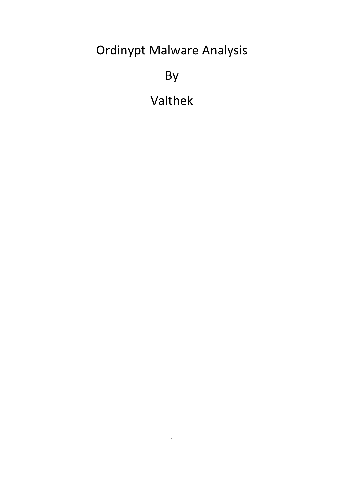# Ordinypt Malware Analysis

By

Valthek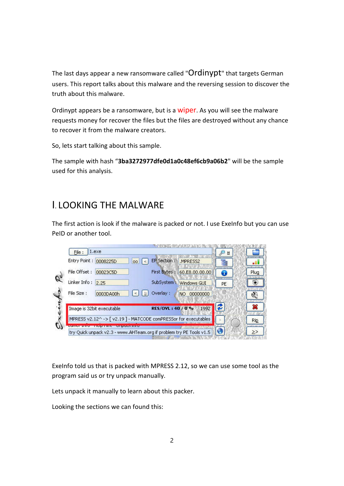The last days appear a new ransomware called "Ordinypt" that targets German users. This report talks about this malware and the reversing session to discover the truth about this malware.

Ordinypt appears be a ransomware, but is a wiper. As you will see the malware requests money for recover the files but the files are destroyed without any chance to recover it from the malware creators.

So, lets start talking about this sample.

The sample with hash "**3ba3272977dfe0d1a0c48ef6cb9a06b2**" will be the sample used for this analysis.

### I. LOOKING THE MALWARE

The first action is look if the malware is packed or not. I use Exelnfo but you can use PeID or another tool.



ExeInfo told us that is packed with MPRESS 2.12, so we can use some tool as the program said us or try unpack manually.

Lets unpack it manually to learn about this packer.

Looking the sections we can found this: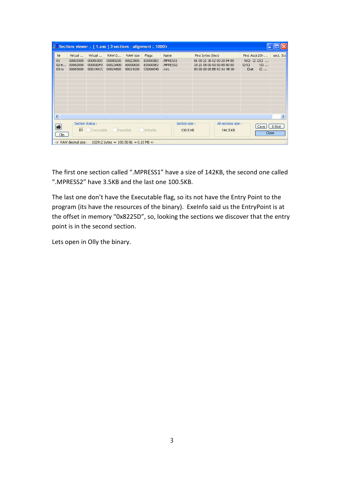|                                         |                                  |                                  |                                  |                                         | <b>A.d.</b> Sections viewer: [1.exe] 3 sections - alignment: 1000h |                               |                                                                                        |                                                                                      |           |
|-----------------------------------------|----------------------------------|----------------------------------|----------------------------------|-----------------------------------------|--------------------------------------------------------------------|-------------------------------|----------------------------------------------------------------------------------------|--------------------------------------------------------------------------------------|-----------|
| Nr                                      | Virtual                          | Virtual                          | RAW D                            | RAW size                                | Flags                                                              | <b>Name</b>                   | First bytes (hex)                                                                      | First Ascii 20h                                                                      | sect. Sta |
| 01<br>02e<br>$03$ rs                    | 00001000<br>00082000<br>00083000 | 00081000<br>00000DF0<br>000190CC | 00000200<br>00023A00<br>00024800 | 00023800<br>00000E00<br>00019200        | E00000E0<br>E00000E0<br>C0000040                                   | .MPRESS1<br>.MPRESS2<br>.rsrc | 81 00 21 36 02 00 20 04 00<br>18 21 08 00 00 00 00 00 00<br>00 00 00 00 BB 0C 61 4B 00 | $!6\square$ $\square$ $\square$ $\square$<br>$1\square$<br>$\Box$<br>$\Box$ aK<br>口… |           |
|                                         |                                  |                                  |                                  |                                         |                                                                    |                               |                                                                                        |                                                                                      |           |
| $\left\langle \cdot \right\rangle$<br>Ŵ |                                  | Section status:                  |                                  |                                         |                                                                    | Шt<br>Section size :          | All sections size :                                                                    | Cave                                                                                 | S-Stat    |
| Clip                                    | 03<br>-> RAW decimal size :      | Executable                       | Readable                         | 102912 bytes = $100,50$ kb = 0.10 MB <- | Writable                                                           | 100.5 KB                      | 246.5 KB                                                                               |                                                                                      | Close     |

The first one section called ".MPRESS1" have a size of 142KB, the second one called ".MPRESS2" have 3.5KB and the last one 100.5KB.

The last one don't have the Executable flag, so its not have the Entry Point to the program (its have the resources of the binary). ExeInfo said us the EntryPoint is at the offset in memory "0x8225D", so, looking the sections we discover that the entry point is in the second section.

Lets open in Olly the binary.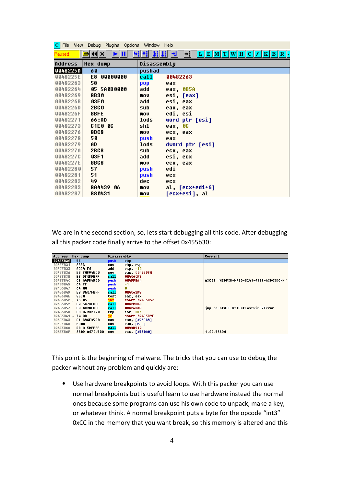| File<br>View | Debug<br>Options<br>Plugins | <b>Window</b> | Help                                         |
|--------------|-----------------------------|---------------|----------------------------------------------|
| Paused       | 44  X  <br>ш                | ₹.<br>٠H      | Н<br>ᅰ<br> E[M T[W H C]/ K B R .<br>→il<br>ь |
| Address      | <b>Hex dump</b>             | Disassembly   |                                              |
| 0048225D     | 60                          | pushad        |                                              |
| 0048225E     | 00000000<br>E8              | call          | 00482263                                     |
| 00482263     | 58                          | pop           | eax                                          |
| 00482264     | 05 5A0B0000                 | add           | eax, OB5A                                    |
| 00482269     | <b>8B30</b>                 | mov           | esi, [eax]                                   |
| 0048226B     | 03F 0                       | add           | esi, eax                                     |
| 0048226D     | <b>2BC0</b>                 | sub           | eax, eax                                     |
| 0048226F     | 8BFE                        | mov           | edi, esi                                     |
| 00482271     | 66:AD                       | lods          | word ptr [esi]                               |
| 00482273     | C1E0<br>80                  | shl           | eax, OC                                      |
| 00482276     | <b>8BC8</b>                 | mov           | ecx, eax                                     |
| 00482278     | 50                          | push          | eax                                          |
| 00482279     | AD                          | lods          | dword ptr [esi]                              |
| 0048227A     | <b>2BC8</b>                 | sub           | ecx, eax                                     |
| 00482270     | 03F1                        | add           | esi, ecx                                     |
| 0048227E     | <b>8BC8</b>                 | mov           | ecx, eax                                     |
| 00482280     | 57                          | push          | edi                                          |
| 00482281     | 51                          | push          | ecx                                          |
| 00482282     | 49                          | dec.          | ecx                                          |
| 00482283     | 8A4439 06                   | mov           | al, [ecx+edi+6]                              |
| 00482287     | 880431                      | mov           | [ecx+esi], al                                |

We are in the second section, so, lets start debugging all this code. After debugging all this packer code finally arrive to the offset 0x455b30:

| Address      | <b>Hex dump</b> | Disassemblu |                | Comment                                 |
|--------------|-----------------|-------------|----------------|-----------------------------------------|
| 00455B30     | 55              | push        | ebp            |                                         |
| 00455B31     | 8BEC            | mov         | ebp, esp       |                                         |
| 00455B33     | 83C4 FO         | add         | esp, -10       |                                         |
| 00455B36     | B8 50594500     | mou         | eax, 00455950  |                                         |
| 00455B3B     | E8 9805FBFF     | call        | 004060D8       |                                         |
| 00455B40     | 68 A45B4500     | push        | 00455BA4       | ASCII "HSDFSD-HFSD-3241-91E7-ASDGSDGHH" |
| 00455B45     | 6A FF           | push        | $-1$           |                                         |
| 00455B47     | 6A 00           | push        | ß              |                                         |
| 00455B49     | E8 8A07FBFF     | call        | 004062D8       |                                         |
| 00455B4E     | 85C 0           | test        | eax, eax       |                                         |
| 00455B50     | 75 85           | jnz         | short 00455B57 |                                         |
| 00455852     | E8 5D70FBFF     | call        | 0040CBB4       |                                         |
| 00455B57     | E8 4C08FBFF     | call        | 004063A8       | imp to ntdll.RtlGetLastWin32Error       |
| 00455B5C     | 3D B7000000     | <b>CMD</b>  | eax, 0B7       |                                         |
| $00455B61$ . | 74 3B           | je          | short 00455B9E |                                         |
| 00455B63     | A1 C46F4500     | mov         | eax, [456FC4]  |                                         |
| 00455B68     | <b>8B00</b>     | mov         | eax, [eax]     |                                         |
| 00455B6A     | E8 A15DFFFF     | call        | 0044B910       |                                         |
| 00455B6F     | 8B0D A0704500   | mou         | ecx, [4570A0]  | 1.00458BD0                              |

This point is the beginning of malware. The tricks that you can use to debug the packer without any problem and quickly are:

⦁ Use hardware breakpoints to avoid loops. With this packer you can use normal breakpoints but is useful learn to use hardware instead the normal ones because some programs can use his own code to unpack, make a key, or whatever think. A normal breakpoint puts a byte for the opcode "int3" 0xCC in the memory that you want break, so this memory is altered and this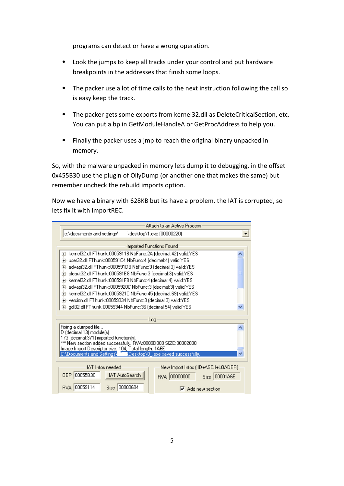programs can detect or have a wrong operation.

- ⦁ Look the jumps to keep all tracks under your control and put hardware breakpoints in the addresses that finish some loops.
- ⦁ The packer use a lot of time calls to the next instruction following the call so is easy keep the track.
- ⦁ The packer gets some exports from kernel32.dll as DeleteCriticalSection, etc. You can put a bp in GetModuleHandleA or GetProcAddress to help you.
- ⦁ Finally the packer uses a jmp to reach the original binary unpacked in memory.

So, with the malware unpacked in memory lets dump it to debugging, in the offset 0x455B30 use the plugin of OllyDump (or another one that makes the same) but remember uncheck the rebuild imports option.

Now we have a binary with 628KB but its have a problem, the IAT is corrupted, so lets fix it with ImportREC.

| Attach to an Active Process                                                                                             |  |  |  |  |  |  |  |
|-------------------------------------------------------------------------------------------------------------------------|--|--|--|--|--|--|--|
| c:\documents and settings\<br>\desktop\1.exe (00000220)                                                                 |  |  |  |  |  |  |  |
| <b>Imported Functions Found</b>                                                                                         |  |  |  |  |  |  |  |
| ⊞- kernel32.dll FThunk:00059118 NbFunc:2A (decimal:42) valid:YES                                                        |  |  |  |  |  |  |  |
| 由- user32.dll FThunk:000591C4 NbFunc:4 (decimal:4) valid:YES                                                            |  |  |  |  |  |  |  |
| 由- advapi32.dll FThunk:000591D8 NbFunc:3 (decimal:3) valid:YES                                                          |  |  |  |  |  |  |  |
| 由- oleaut32.dll FThunk:000591E8 NbFunc:3 (decimal:3) valid:YES                                                          |  |  |  |  |  |  |  |
| 由- kernel32.dll FThunk:000591F8 NbFunc:4 (decimal:4) valid:YES                                                          |  |  |  |  |  |  |  |
| 由- advapi32.dll FThunk:0005920C NbFunc:3 (decimal:3) valid:YES                                                          |  |  |  |  |  |  |  |
| 由- kernel32.dll FThunk:0005921C NbFunc:45 (decimal:69) valid:YES                                                        |  |  |  |  |  |  |  |
| 由- version.dll FThunk:00059334 NbFunc:3 (decimal:3) valid:YES                                                           |  |  |  |  |  |  |  |
| 由- qdi32.dll FThunk:00059344 NbFunc:36 (decimal:54) valid:YES                                                           |  |  |  |  |  |  |  |
| Log                                                                                                                     |  |  |  |  |  |  |  |
| Fixing a dumped file                                                                                                    |  |  |  |  |  |  |  |
| D (decimal:13) module(s)                                                                                                |  |  |  |  |  |  |  |
| 173 (decimal:371) imported function(s).                                                                                 |  |  |  |  |  |  |  |
| *** New section added successfully. RVA:0009D000 SIZE:00002000<br>Image Import Descriptor size: 104; Total length: 1A6E |  |  |  |  |  |  |  |
| C:\Documents and Settings\ <b>_it__</b> \Desktop\0_.exe saved successfully.                                             |  |  |  |  |  |  |  |
|                                                                                                                         |  |  |  |  |  |  |  |
| <b>IAT</b> Infos needed<br>New Import Infos (IID+ASCII+LOADER)                                                          |  |  |  |  |  |  |  |
| 00055B30<br>IAT AutoSearch<br><b>OEP</b><br>RVA 00000000<br>Size 00001A6E                                               |  |  |  |  |  |  |  |
| 00059114<br>100000604<br>Size<br>RVA.<br>Add new section                                                                |  |  |  |  |  |  |  |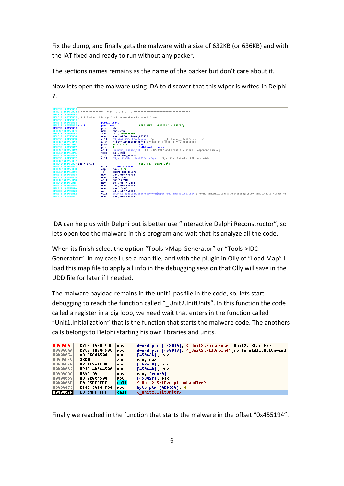Fix the dump, and finally gets the malware with a size of 632KB (or 636KB) and with the IAT fixed and ready to run without any packer.

The sections names remains as the name of the packer but don't care about it.

Now lets open the malware using IDA to discover that this wiper is writed in Delphi 7.

| .MPRESS1:00455B30             |                                                                          |                                                                                                                          |  |  |  |  |  |  |
|-------------------------------|--------------------------------------------------------------------------|--------------------------------------------------------------------------------------------------------------------------|--|--|--|--|--|--|
|                               |                                                                          |                                                                                                                          |  |  |  |  |  |  |
| .MPRESS1:00455B30             |                                                                          |                                                                                                                          |  |  |  |  |  |  |
|                               | .MPRESS1:00455B30 : Attributes: libraru function noreturn bp-based frame |                                                                                                                          |  |  |  |  |  |  |
| .MPRESS1:00455B30             |                                                                          |                                                                                                                          |  |  |  |  |  |  |
| .MPRESS1:00455B30             | public start                                                             |                                                                                                                          |  |  |  |  |  |  |
| .MPRESS1:00455B30 start       | proc near                                                                | : CODE XREF: .MPRESS1:1oc 455CE711                                                                                       |  |  |  |  |  |  |
| .MPRESS1:00455B30             | push                                                                     | ebp                                                                                                                      |  |  |  |  |  |  |
| .MPRESS1:00455B31             | nov                                                                      | ebp, esp                                                                                                                 |  |  |  |  |  |  |
| .MPRESS1:00455B33             | add                                                                      | esp, OFFFFFFF0h                                                                                                          |  |  |  |  |  |  |
| .MPRESS1:00455B36             | nov                                                                      | eax. offset dword 455950                                                                                                 |  |  |  |  |  |  |
| .MPRESS1:00455B3B             | call                                                                     | @Sysinit@@InitExe\$qqrpv; Sysinit:: linkproc InitExe(void *)                                                             |  |  |  |  |  |  |
| .MPRESS1:00455B40             | push                                                                     | offset aHsdfsdHfsd3241 : "HSDFSD-HFSD-3241-91E7-ASDGSDGHH"                                                               |  |  |  |  |  |  |
| .MPRESS1:00455B45             | push                                                                     | <b>OFFFFFFFFFh</b><br>: int                                                                                              |  |  |  |  |  |  |
| .MPRESS1:00455B47             | push                                                                     | ; 1pMutexAttributes<br>ø                                                                                                 |  |  |  |  |  |  |
| .MPRESS1:00455B49             | call                                                                     | unknown libname 103 : BDS 2005-2007 and Delphi6-7 Visual Component Libraru                                               |  |  |  |  |  |  |
| .MPRESS1:00455B4E             | test                                                                     | eax, eax                                                                                                                 |  |  |  |  |  |  |
| .MPRESS1:00455B50             | inz                                                                      | short loc 455B57                                                                                                         |  |  |  |  |  |  |
| .MPRESS1:00455B52             | call                                                                     | @Sysutils@RaiseLastOSError\$qqrv ; Sysutils::RaiseLastOSError(void)                                                      |  |  |  |  |  |  |
| .MPRESS1:00455B57             |                                                                          |                                                                                                                          |  |  |  |  |  |  |
| .MPRESS1:00455B57 loc 455B57: |                                                                          | ; CODE XREF: start+207j                                                                                                  |  |  |  |  |  |  |
| .MPRESS1:00455B57             | call                                                                     | i GetLastError                                                                                                           |  |  |  |  |  |  |
| .MPRESS1:00455B5C             | cmp                                                                      | eax, OB7h                                                                                                                |  |  |  |  |  |  |
| .MPRESS1:00455B61             | jz.                                                                      | short loc 455B9E                                                                                                         |  |  |  |  |  |  |
| .MPRESS1:00455B63             | nov                                                                      | eax, off 456FC4                                                                                                          |  |  |  |  |  |  |
| .MPRESS1:00455B68             | nov                                                                      | eax, [eax]                                                                                                               |  |  |  |  |  |  |
| .MPRESS1:00455B6A             | call                                                                     | <b>Sub 448918</b>                                                                                                        |  |  |  |  |  |  |
| .MPRESS1:00455B6F             | nov                                                                      | ecx, off 4570A0                                                                                                          |  |  |  |  |  |  |
| .MPRESS1:00455B75             | nov                                                                      | eax, off 456FC4                                                                                                          |  |  |  |  |  |  |
| .MPRESS1:00455B7A             | nov                                                                      | eax, [eax]                                                                                                               |  |  |  |  |  |  |
| .MPRESS1:00455B7C             | nov                                                                      | edx, off 44CEB0                                                                                                          |  |  |  |  |  |  |
| .MPRESS1:00455B82             | call                                                                     | GForms@TApplication@CreateForm\$qqrp17Sustem@TMetaClasspu ; Forms::TApplication::CreateForm(Sustem::TMetaClass *.void *) |  |  |  |  |  |  |
| .MPRESS1:00455B87             | <b>ROV</b>                                                               | eax, off 456FC4                                                                                                          |  |  |  |  |  |  |
|                               |                                                                          |                                                                                                                          |  |  |  |  |  |  |

IDA can help us with Delphi but is better use "Interactive Delphi Reconstructor", so lets open too the malware in this program and wait that its analyze all the code.

When its finish select the option "Tools->Map Generator" or "Tools->IDC Generator". In my case I use a map file, and with the plugin in Olly of "Load Map" I load this map file to apply all info in the debugging session that Olly will save in the UDD file for later if I needed.

The malware payload remains in the unit1.pas file in the code, so, lets start debugging to reach the function called " Unit2.InitUnits". In this function the code called a register in a big loop, we need wait that enters in the function called "Unit1.Initialization" that is the function that starts the malware code. The anothers calls belongs to Delphi starting his own libraries and units.

| 00404040 | C705 14804500 | <b>MOV</b> | dword ptr [458014], < Unit2.RaiseExcep Unit2.@StartExe       |  |
|----------|---------------|------------|--------------------------------------------------------------|--|
| 00404040 | C705 18804500 | mov        | dword ptr [458018]. < Unit2.Rt1Unwind>imp to ntdl1.Rt1Unwind |  |
| 00404054 | A3 3C864500   | <b>MOV</b> | [45863C], eax                                                |  |
| 00404059 | 33CO          | xor        | eax, eax                                                     |  |
| 0040405B | A3 40864500   | mov        | [458640], eax                                                |  |
| 00404060 | 8915 44864500 | mou        | $[458644]$ , edx                                             |  |
| 00404066 | 8B42 04       | mov        | eax. [edx+4]                                                 |  |
| 00404069 | A3 2C804500   | <b>MOV</b> | [45802C], eax                                                |  |
| 0040406E | E8 C5FEFFFF   | call       | < Unit2.SetExceptionHandler>                                 |  |
| 00404073 | C605 34804500 | <b>MOV</b> | byte ptr [458034] 0                                          |  |
| 0040407A | E8 61FFFFFF   | call       | < Unit2.InitUnits>                                           |  |

Finally we reached in the function that starts the malware in the offset "0x455194".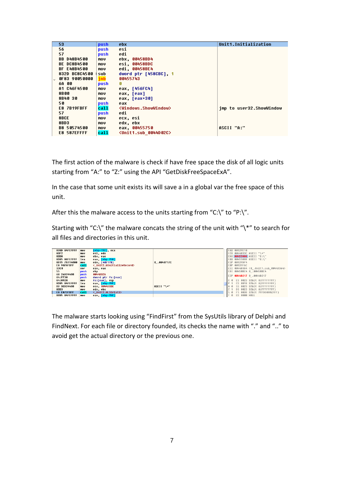| 53.                  | push | ebx                                              | Unit1.Initialization     |
|----------------------|------|--------------------------------------------------|--------------------------|
| 56                   | push | esi                                              |                          |
| 57                   | push | edi                                              |                          |
| <b>BB 048B4500</b>   | mov  | ebx. 00458BD4                                    |                          |
| <b>BE DC8B4500</b>   | mov  | esi, 00458BDC                                    |                          |
| BF E48B4500          | mou  | edi, 00458BE4                                    |                          |
| 832D BC8C4500        | sub  | dword ptr [458CBC] 1                             |                          |
| <b>OF83 90050000</b> | inb. | 00455743                                         |                          |
| 6A 00                | push | g                                                |                          |
| A1 C46F4500          | mov  | eax, [456FC4]                                    |                          |
| 8B 00                | mov  | eax, [eax]                                       |                          |
| 8B40 30              | mov  | eax, [eax+30]                                    |                          |
| 50                   | push | eax                                              |                          |
| <b>E8 7B19FBFF</b>   | call | <b><windows.showwindow></windows.showwindow></b> | imp to user32.ShowWindow |
| 57                   | push | edi                                              |                          |
| 8BCE                 | mov  | ecx, esi                                         |                          |
| 8BD3                 | mov  | edx, ebx                                         |                          |
| B8 50574500          | mov  | eax, 00455750                                    | ASCII "A:"               |
| E8 587EFFFF          | call | <b><unit1.sub 0044d02c=""></unit1.sub></b>       |                          |

The first action of the malware is check if have free space the disk of all logic units starting from "A:" to "Z:" using the API "GetDiskFreeSpaceExA".

In the case that some unit exists its will save a in a global var the free space of this unit.

After this the malware access to the units starting from "C:\" to "P:\".

Starting with "C:\" the malware concats the string of the unit with "\\*" to search for all files and directories in this unit.

| 898D A4FEFFFF      | nou         | $[ebp-150]$ , ecx          |            |  | FAX 8812FF18     |                                      |
|--------------------|-------------|----------------------------|------------|--|------------------|--------------------------------------|
| <b>8BF2</b>        | nov         | esi. edx                   |            |  |                  | ECX 0044D33C ASCII "\*"              |
| <b>8BD8</b>        | nov         | ebx, eax                   |            |  |                  | EDX 00455888 ASCII "C:\"             |
| 8D85 A8FEFFFF      | lea         | eax, [ebp-158]             |            |  |                  | EBX 00455888 ASCII "C:\"             |
| 8B15 78714888      | nou         | edx, [407178]              | 0.00407170 |  | ESP 0012FDF4     |                                      |
| E8 907AFBFF        | call        | < Unit2.@InitializeRecord> |            |  | FBP 0012FF6C     |                                      |
| 33CO               | xor         | eax, eax                   |            |  |                  | ESI 0044D364 <0 .Unit1.sub 0044D364> |
| 55.                | push        | ebp                        |            |  |                  | EDI 00458BE4 0 .00458BE4             |
| 68 26034400        | <b>bush</b> | 0044D326                   |            |  |                  | EIP 0044D217 0 .0044D217             |
| 64.FF30            | push        | dword ptr fs:[eax]         |            |  |                  |                                      |
| 64:8920            | nou         | fs:[eax], esp              |            |  |                  | C 0 ES 0023 32bit 0(FFFFFFFF)        |
| 8D85 A4FEFFFF      | lea         | eax, [ebp-15C]             |            |  |                  | P 1 CS 001B 32bit 0(FFFFFFFFF)       |
| <b>B9 3CD34400</b> | nov         | ecx. 0044D33C              | ASCII "\*" |  |                  | A 0 SS 0023 32bit 0(FFFFFFFFF)       |
| <b>SBD3</b>        | nov         | edx. ebx                   |            |  |                  | DS 0023 32bit 0(FFFFFFFF)            |
| E8 E873FBFF        | call        | < Unit2.@LStrCat3>         |            |  |                  | S 0 FS 003B 32bit 7FFDD000(FFF)      |
| 8B85 A4FEFFFF      | nou         | eax, [ebp-15C]             |            |  | T 0 GS 0000 NULL |                                      |

The malware starts looking using "FindFirst" from the SysUtils library of Delphi and FindNext. For each file or directory founded, its checks the name with "." and ".." to avoid get the actual directory or the previous one.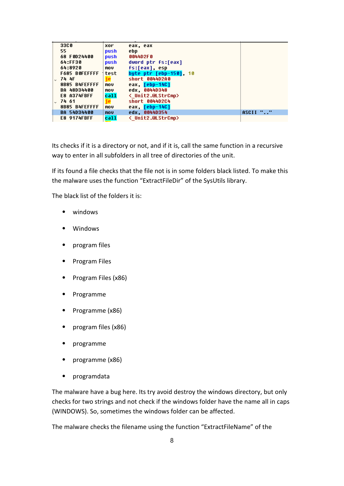| <b>33CO</b>          | xor  | eax, eax                       |          |
|----------------------|------|--------------------------------|----------|
| 55.                  | push | ebp                            |          |
| 68 F0D24400          | push | 0044D2F0                       |          |
| 64:FF30              | push | dword ptr fs:[eax]             |          |
| 64:8920              | mov  | fs:[eax], esp                  |          |
| <b>F685 BOFEFFFF</b> | test | byte ptr [ebp-150], 10         |          |
| 74 4F                | je   | short 0044D2A0                 |          |
| 8B85 B4FEFFFF        | mov  | eax, [ebp-14C]                 |          |
| BA 48D34400          | mov  | edx, 0044D348                  |          |
| <b>E8 A374FBFF</b>   | call | <b>&lt; Unit2.@LStrCmp&gt;</b> |          |
| 74 61                | je   | short 0044D2C4                 |          |
| 8B85 B4FEFFFF        | nov  | eax, [ebp-14C]                 |          |
| BA 54034400          | mou  | edx 0044D354                   | ASCII "" |
| <b>E8 9174FBFF</b>   | call | <b>&lt; Unit2.@LStrCmp&gt;</b> |          |

Its checks if it is a directory or not, and if it is, call the same function in a recursive way to enter in all subfolders in all tree of directories of the unit.

If its found a file checks that the file not is in some folders black listed. To make this the malware uses the function "ExtractFileDir" of the SysUtils library.

The black list of the folders it is:

- ⦁ windows
- ⦁ Windows
- ⦁ program files
- ⦁ Program Files
- ⦁ Program Files (x86)
- ⦁ Programme
- ⦁ Programme (x86)
- ⦁ program files (x86)
- ⦁ programme
- ⦁ programme (x86)
- ⦁ programdata

The malware have a bug here. Its try avoid destroy the windows directory, but only checks for two strings and not check if the windows folder have the name all in caps (WINDOWS). So, sometimes the windows folder can be affected.

The malware checks the filename using the function "ExtractFileName" of the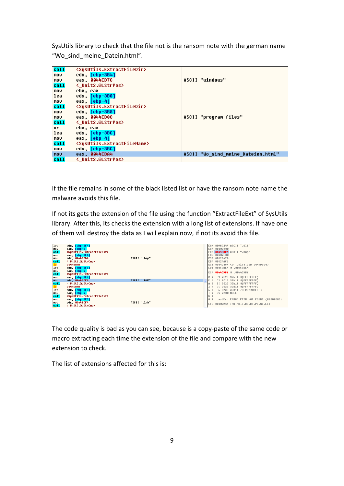SysUtils library to check that the file not is the ransom note with the german name "Wo\_sind\_meine\_Datein.html".

| call | <susutils.extractfiledir></susutils.extractfiledir>   |                                    |
|------|-------------------------------------------------------|------------------------------------|
| MOV  | edx, [ebp-3B4]                                        |                                    |
| mov  | eax, 0044EB7C                                         | ASCII "windows"                    |
| ca11 | <b>&lt; Unit2.@LStrPos&gt;</b>                        |                                    |
| MOV  | ebx, eax                                              |                                    |
| lea  | edx. [ebp-3B8]                                        |                                    |
| MOV  | eax. [ebp-41                                          |                                    |
| call | <susutils.extractfiledir></susutils.extractfiledir>   |                                    |
| mov  | edx. [ebp-3B8]                                        |                                    |
| MOV  | eax. 0044EB8C                                         | ASCII "program files"              |
| call | <b>く Unit2.@LStrPos&gt;</b>                           |                                    |
| 0r.  | ebx, eax                                              |                                    |
| lea  | edx, [ebp-3BC]                                        |                                    |
| MOV  | eax, [ebp-4]                                          |                                    |
| call | <susutils.extractfilename></susutils.extractfilename> |                                    |
| mov  | edx. [ebp-3BC]                                        |                                    |
| mou  | eax. 0044EBA4                                         | ASCII "Wo sind meine Dateien.html" |
| call | < Unit2.@LStrPos>                                     |                                    |

If the file remains in some of the black listed list or have the ransom note name the malware avoids this file.

If not its gets the extension of the file using the function "ExtractFileExt" of SysUtils library. After this, its checks the extension with a long list of extensions. If have one of them will destroy the data as I will explain now, if not its avoid this file.

| lea<br>nov<br>call<br>nov<br><b>nov</b><br>call<br><mark>je</mark><br>lea<br><b>nov</b><br>ca11<br><b>MOV</b> | edx, [ebp-3F4]<br>eax, [ebp-4]<br><susutils.extractfileext><br/>eax, [ebp-3F4]<br/>edx, 0044ECD4<br/>← Unit2.@LStrCmp<br/>0044EA1A<br/>edx, [ebp-3F8]<br/>eax, [ebp-4]<br/><susutils.extractfileext><br/>eax, [ebp-3F8]</susutils.extractfileext></susutils.extractfileext> | ASCII ".bmp"                 |                                | EAX 00982344 ASCII ".dll"<br>ECX 00000000<br>EDX 8044ECD4 ASCII ".bmp"<br><b>EBX 00000000</b><br>ESP 0012F474<br>EBP 0012FAC8<br>ESI 0044D364 <0 .Unit1.sub 0044D364><br>EDI 00458BE4 0 .00458BE4<br>EIP 8844D5B7 0 .0044D5B7<br>C 0 ES 0023 32bit 0(FFFFFFFFF) |
|---------------------------------------------------------------------------------------------------------------|-----------------------------------------------------------------------------------------------------------------------------------------------------------------------------------------------------------------------------------------------------------------------------|------------------------------|--------------------------------|-----------------------------------------------------------------------------------------------------------------------------------------------------------------------------------------------------------------------------------------------------------------|
| nou<br>call<br><mark>je</mark><br>lea<br>nov<br>ca11<br>nov<br><b>MOV</b>                                     | edx, 0044ECE4<br>< Unit2.@LStrCmp><br>0044EA1A<br>edx, [ebp-3FC]<br>eax, [ebp-4]<br><susutils.extractfileext><br/>eax, [ebp-3FC]<br/>edx, 0044ECF4</susutils.extractfileext>                                                                                                | ASCII ".BMP"<br>ASCII ".1nk" | $A$ $B$<br>T R<br>$D$ $\theta$ | P 1 CS 001B 32bit 0(FFFFFFFF)<br>SS 0023 32bit 0(FFFFFFFFF)<br>DS 0023 32bit 0(FFFFFFFFF)<br>S 0 FS 003B 32bit 7FFDD000(FFF)<br>GS 0000 NULL<br>0 0 LastErr ERROR PATH NOT FOUND (00000003)                                                                     |
| call                                                                                                          | ← Unit2.@LStrCmp                                                                                                                                                                                                                                                            |                              |                                | EFL 00000246 (NO.NB.E.BE.NS.PE.GE.LE)                                                                                                                                                                                                                           |

The code quality is bad as you can see, because is a copy-paste of the same code or macro extracting each time the extension of the file and compare with the new extension to check.

The list of extensions affected for this is: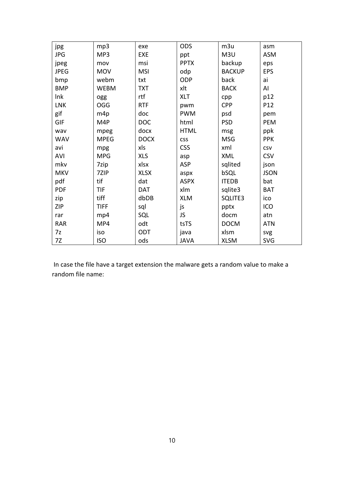| jpg         | mp3         | exe         | <b>ODS</b>  | m3u           | asm         |
|-------------|-------------|-------------|-------------|---------------|-------------|
| <b>JPG</b>  | MP3         | <b>EXE</b>  | ppt         | M3U           | <b>ASM</b>  |
| jpeg        | mov         | msi         | <b>PPTX</b> | backup        | eps         |
| <b>JPEG</b> | <b>MOV</b>  | <b>MSI</b>  | odp         | <b>BACKUP</b> | <b>EPS</b>  |
| bmp         | webm        | txt         | ODP         | back          | ai          |
| <b>BMP</b>  | <b>WEBM</b> | <b>TXT</b>  | xlt         | <b>BACK</b>   | Al          |
| Ink         | ogg         | rtf         | <b>XLT</b>  | cpp           | p12         |
| <b>LNK</b>  | OGG         | <b>RTF</b>  | pwm         | <b>CPP</b>    | P12         |
| gif         | m4p         | doc         | <b>PWM</b>  | psd           | pem         |
| <b>GIF</b>  | M4P         | <b>DOC</b>  | html        | <b>PSD</b>    | PEM         |
| wav         | mpeg        | docx        | <b>HTML</b> | msg           | ppk         |
| <b>WAV</b>  | <b>MPEG</b> | <b>DOCX</b> | <b>CSS</b>  | <b>MSG</b>    | <b>PPK</b>  |
| avi         | mpg         | xls         | <b>CSS</b>  | xml           | <b>CSV</b>  |
| <b>AVI</b>  | <b>MPG</b>  | <b>XLS</b>  | asp         | XML           | <b>CSV</b>  |
| mkv         | 7zip        | xlsx        | ASP         | sqlited       | json        |
| <b>MKV</b>  | 7ZIP        | <b>XLSX</b> | aspx        | bSQL          | <b>JSON</b> |
| pdf         | tif         | dat         | <b>ASPX</b> | <b>ITEDB</b>  | bat         |
| <b>PDF</b>  | TIF         | <b>DAT</b>  | xlm         | sqlite3       | <b>BAT</b>  |
| zip         | tiff        | dbDB        | <b>XLM</b>  | SQLITE3       | ico         |
| <b>ZIP</b>  | <b>TIFF</b> | sql         | js          | pptx          | ICO         |
| rar         | mp4         | SQL         | JS          | docm          | atn         |
| <b>RAR</b>  | MP4         | odt         | tsTS        | <b>DOCM</b>   | <b>ATN</b>  |
| 7z          | iso         | ODT         | java        | xlsm          | svg         |
| 7Z          | <b>ISO</b>  | ods         | <b>JAVA</b> | <b>XLSM</b>   | <b>SVG</b>  |

In case the file have a target extension the malware gets a random value to make a random file name: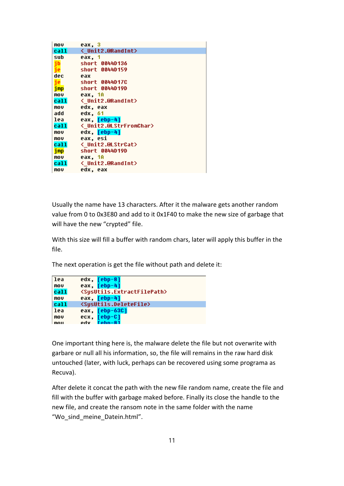| eax. 3                         |
|--------------------------------|
| <b>&lt; Unit2.@RandInt&gt;</b> |
| eax, 1                         |
| short 0044D136                 |
| short 0044D159                 |
| eax                            |
| short 0044D17C                 |
| short 0044D19D                 |
| eax. 1A                        |
| < Unit2.@RandInt>              |
| edx, eax                       |
| edx, 61                        |
| eax, [ebp-4]                   |
| < Unit2.@LStrFromChar>         |
| edx, [ebp-4]                   |
| eax, esi                       |
| <b>&lt; Unit2.@LStrCat&gt;</b> |
| short 0044D19D                 |
| eax, 1A                        |
| < Unit2.@RandInt>              |
| edx. eax                       |
|                                |

Usually the name have 13 characters. After it the malware gets another random value from 0 to 0x3E80 and add to it 0x1F40 to make the new size of garbage that will have the new "crypted" file.

With this size will fill a buffer with random chars, later will apply this buffer in the file.

The next operation is get the file without path and delete it:

```
1eaedx, <mark>[ebp-8</mark>]
mov
         eax, [ebp-4]
call
          <SysUtils.ExtractFilePath>
mov
         eax, [ebp-4]
          <SysUtils.DeleteFile>
call
lea
         eax, [ebp-63C]
         ecx, <mark>[ebp-C]</mark>
mov
mou
         vhe
```
One important thing here is, the malware delete the file but not overwrite with garbare or null all his information, so, the file will remains in the raw hard disk untouched (later, with luck, perhaps can be recovered using some programa as Recuva).

After delete it concat the path with the new file random name, create the file and fill with the buffer with garbage maked before. Finally its close the handle to the new file, and create the ransom note in the same folder with the name "Wo\_sind\_meine\_Datein.html".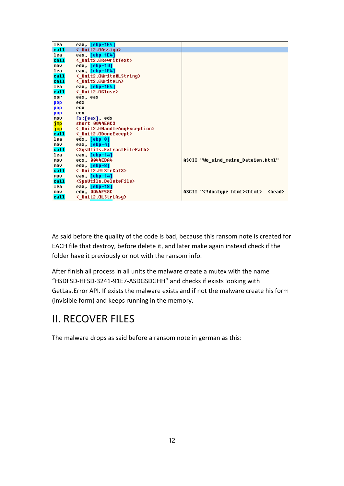| lea<br>eax, [ebp-1E4]                                         |                                                      |
|---------------------------------------------------------------|------------------------------------------------------|
| < Unit2.@Assign><br><b>call</b>                               |                                                      |
| eax, [ebp-1E4]<br>lea                                         |                                                      |
| call<br>< Unit2.@RewritText>                                  |                                                      |
| edx, [ebp-10]<br><b>MOV</b>                                   |                                                      |
| eax. [ebp-1E41<br>lea                                         |                                                      |
| < Unit2.@Write0LString><br>call                               |                                                      |
| < Unit2.@WriteLn><br>call                                     |                                                      |
| eax, [ebp-1E4]<br>lea                                         |                                                      |
| <b>く Unit2.@Close&gt;</b><br>call                             |                                                      |
| xor<br>eax, eax                                               |                                                      |
| edx<br>pop                                                    |                                                      |
| ecx<br>pop                                                    |                                                      |
| ecx<br>pop                                                    |                                                      |
| fs:[eax], edx<br>mov                                          |                                                      |
| short 0044EAC3<br>imp                                         |                                                      |
| < Unit2.@HandleAnyException><br>jmp                           |                                                      |
| < Unit2.@DoneExcept><br>call                                  |                                                      |
| edx, [ebp-8]<br>lea                                           |                                                      |
| eax, [ebp-4]<br>mov                                           |                                                      |
| call<br><susutils.extractfilepath></susutils.extractfilepath> |                                                      |
| eax, [ebp-14]<br>lea                                          |                                                      |
| <b>ecx. 0044EBA4</b><br>mov                                   | ASCII "Wo sind meine Dateien.html"                   |
| edx, [ebp-8]<br>mov                                           |                                                      |
| <b>&lt; Unit2.@LStrCat3&gt;</b><br>call                       |                                                      |
| eax. [ebp-14]<br><b>MOV</b>                                   |                                                      |
| <susutils.deletefile><br/>call</susutils.deletefile>          |                                                      |
| lea<br>eax, [ebp-18]                                          |                                                      |
| edx, 0044F58C<br><b>MOV</b>                                   | ASCII " doctupe html <html><br/><head></head></html> |
| call<br><b>く Unit2.@LStrLAsq&gt;</b>                          |                                                      |

As said before the quality of the code is bad, because this ransom note is created for EACH file that destroy, before delete it, and later make again instead check if the folder have it previously or not with the ransom info.

After finish all process in all units the malware create a mutex with the name "HSDFSD-HFSD-3241-91E7-ASDGSDGHH" and checks if exists looking with GetLastError API. If exists the malware exists and if not the malware create his form (invisible form) and keeps running in the memory.

# II. RECOVER FILES

The malware drops as said before a ransom note in german as this: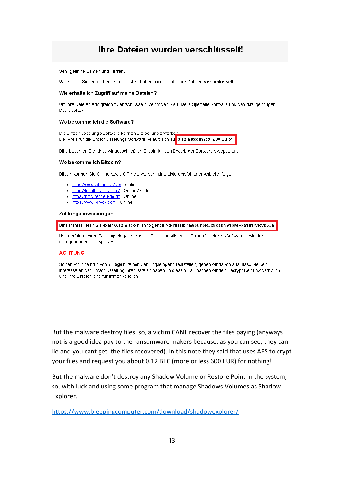### Ihre Dateien wurden verschlüsselt!

Sehr geehrte Damen und Herren,

Wie Sie mit Sicherheit bereits festgestellt haben, wurden alle Ihre Dateien verschlüsselt.

#### Wie erhalte ich Zugriff auf meine Dateien?

Um Ihre Dateien erfolgreich zu entschlüsseln, benötigen Sie unsere Spezielle Software und den dazugehörigen Decrypt-Key.

#### Wo bekomme ich die Software?

Die Entschlüsselungs-Software können Sie bei uns erwerben. Der Preis für die Entschlüsselungs-Software beläuft sich au 0.12 Bitcoin (ca. 600 Euro).

Bitte beachten Sie, dass wir ausschließlich Bitcoin für den Erwerb der Software akzeptieren.

#### Wo bekomme ich Bitcoin?

Bitcoin können Sie Online sowie Offline erwerben, eine Liste empfohlener Anbieter folgt:

- · https://www.bitcoin.de/de/ Online
- https://localbitcoins.com/ Online / Offline
- https://btcdirect.eu/de-at Online
- https://www.virwox.com Online

#### Zahlungsanweisungen

Bitte transferieren Sie exakt 0.12 Bitcoin an folgende Addresse: 1E85uh5RJx9oskN91bMFxa1fffrvRVb5JB

Nach erfolgreichem Zahlungseingang erhalten Sie automatisch die Entschlüsselungs-Software sowie den dazugehörigen Decrypt-Key.

#### **ACHTUNG!**

Sollten wir innerhalb von 7 Tagen keinen Zahlungseingang feststellen, gehen wir davon aus, dass Sie kein Interesse an der Entschlüsselung Ihrer Dateien haben. In diesem Fall löschen wir den Decrypt-Key unwiderruflich und Ihre Dateien sind für immer verloren.

But the malware destroy files, so, a victim CANT recover the files paying (anyways not is a good idea pay to the ransomware makers because, as you can see, they can lie and you cant get the files recovered). In this note they said that uses AES to crypt your files and request you about 0.12 BTC (more or less 600 EUR) for nothing!

But the malware don't destroy any Shadow Volume or Restore Point in the system, so, with luck and using some program that manage Shadows Volumes as Shadow Explorer.

https://www.bleepingcomputer.com/download/shadowexplorer/